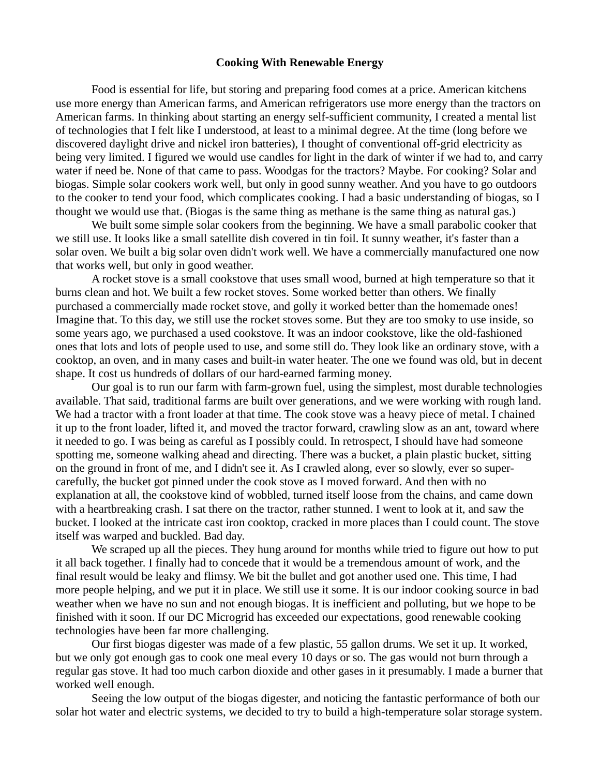## **Cooking With Renewable Energy**

Food is essential for life, but storing and preparing food comes at a price. American kitchens use more energy than American farms, and American refrigerators use more energy than the tractors on American farms. In thinking about starting an energy self-sufficient community, I created a mental list of technologies that I felt like I understood, at least to a minimal degree. At the time (long before we discovered daylight drive and nickel iron batteries), I thought of conventional off-grid electricity as being very limited. I figured we would use candles for light in the dark of winter if we had to, and carry water if need be. None of that came to pass. Woodgas for the tractors? Maybe. For cooking? Solar and biogas. Simple solar cookers work well, but only in good sunny weather. And you have to go outdoors to the cooker to tend your food, which complicates cooking. I had a basic understanding of biogas, so I thought we would use that. (Biogas is the same thing as methane is the same thing as natural gas.)

We built some simple solar cookers from the beginning. We have a small parabolic cooker that we still use. It looks like a small satellite dish covered in tin foil. It sunny weather, it's faster than a solar oven. We built a big solar oven didn't work well. We have a commercially manufactured one now that works well, but only in good weather.

A rocket stove is a small cookstove that uses small wood, burned at high temperature so that it burns clean and hot. We built a few rocket stoves. Some worked better than others. We finally purchased a commercially made rocket stove, and golly it worked better than the homemade ones! Imagine that. To this day, we still use the rocket stoves some. But they are too smoky to use inside, so some years ago, we purchased a used cookstove. It was an indoor cookstove, like the old-fashioned ones that lots and lots of people used to use, and some still do. They look like an ordinary stove, with a cooktop, an oven, and in many cases and built-in water heater. The one we found was old, but in decent shape. It cost us hundreds of dollars of our hard-earned farming money.

Our goal is to run our farm with farm-grown fuel, using the simplest, most durable technologies available. That said, traditional farms are built over generations, and we were working with rough land. We had a tractor with a front loader at that time. The cook stove was a heavy piece of metal. I chained it up to the front loader, lifted it, and moved the tractor forward, crawling slow as an ant, toward where it needed to go. I was being as careful as I possibly could. In retrospect, I should have had someone spotting me, someone walking ahead and directing. There was a bucket, a plain plastic bucket, sitting on the ground in front of me, and I didn't see it. As I crawled along, ever so slowly, ever so supercarefully, the bucket got pinned under the cook stove as I moved forward. And then with no explanation at all, the cookstove kind of wobbled, turned itself loose from the chains, and came down with a heartbreaking crash. I sat there on the tractor, rather stunned. I went to look at it, and saw the bucket. I looked at the intricate cast iron cooktop, cracked in more places than I could count. The stove itself was warped and buckled. Bad day.

We scraped up all the pieces. They hung around for months while tried to figure out how to put it all back together. I finally had to concede that it would be a tremendous amount of work, and the final result would be leaky and flimsy. We bit the bullet and got another used one. This time, I had more people helping, and we put it in place. We still use it some. It is our indoor cooking source in bad weather when we have no sun and not enough biogas. It is inefficient and polluting, but we hope to be finished with it soon. If our DC Microgrid has exceeded our expectations, good renewable cooking technologies have been far more challenging.

Our first biogas digester was made of a few plastic, 55 gallon drums. We set it up. It worked, but we only got enough gas to cook one meal every 10 days or so. The gas would not burn through a regular gas stove. It had too much carbon dioxide and other gases in it presumably. I made a burner that worked well enough.

Seeing the low output of the biogas digester, and noticing the fantastic performance of both our solar hot water and electric systems, we decided to try to build a high-temperature solar storage system.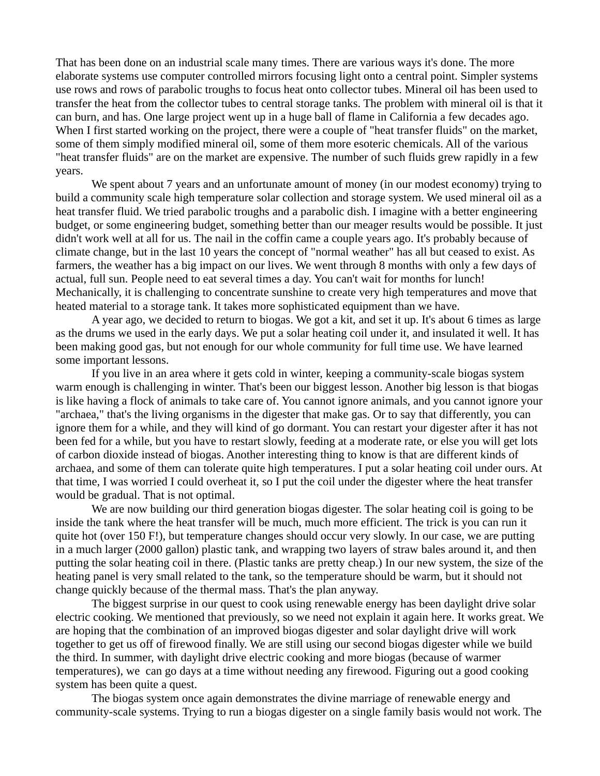That has been done on an industrial scale many times. There are various ways it's done. The more elaborate systems use computer controlled mirrors focusing light onto a central point. Simpler systems use rows and rows of parabolic troughs to focus heat onto collector tubes. Mineral oil has been used to transfer the heat from the collector tubes to central storage tanks. The problem with mineral oil is that it can burn, and has. One large project went up in a huge ball of flame in California a few decades ago. When I first started working on the project, there were a couple of "heat transfer fluids" on the market, some of them simply modified mineral oil, some of them more esoteric chemicals. All of the various "heat transfer fluids" are on the market are expensive. The number of such fluids grew rapidly in a few years.

We spent about 7 years and an unfortunate amount of money (in our modest economy) trying to build a community scale high temperature solar collection and storage system. We used mineral oil as a heat transfer fluid. We tried parabolic troughs and a parabolic dish. I imagine with a better engineering budget, or some engineering budget, something better than our meager results would be possible. It just didn't work well at all for us. The nail in the coffin came a couple years ago. It's probably because of climate change, but in the last 10 years the concept of "normal weather" has all but ceased to exist. As farmers, the weather has a big impact on our lives. We went through 8 months with only a few days of actual, full sun. People need to eat several times a day. You can't wait for months for lunch! Mechanically, it is challenging to concentrate sunshine to create very high temperatures and move that heated material to a storage tank. It takes more sophisticated equipment than we have.

A year ago, we decided to return to biogas. We got a kit, and set it up. It's about 6 times as large as the drums we used in the early days. We put a solar heating coil under it, and insulated it well. It has been making good gas, but not enough for our whole community for full time use. We have learned some important lessons.

If you live in an area where it gets cold in winter, keeping a community-scale biogas system warm enough is challenging in winter. That's been our biggest lesson. Another big lesson is that biogas is like having a flock of animals to take care of. You cannot ignore animals, and you cannot ignore your "archaea," that's the living organisms in the digester that make gas. Or to say that differently, you can ignore them for a while, and they will kind of go dormant. You can restart your digester after it has not been fed for a while, but you have to restart slowly, feeding at a moderate rate, or else you will get lots of carbon dioxide instead of biogas. Another interesting thing to know is that are different kinds of archaea, and some of them can tolerate quite high temperatures. I put a solar heating coil under ours. At that time, I was worried I could overheat it, so I put the coil under the digester where the heat transfer would be gradual. That is not optimal.

We are now building our third generation biogas digester. The solar heating coil is going to be inside the tank where the heat transfer will be much, much more efficient. The trick is you can run it quite hot (over 150 F!), but temperature changes should occur very slowly. In our case, we are putting in a much larger (2000 gallon) plastic tank, and wrapping two layers of straw bales around it, and then putting the solar heating coil in there. (Plastic tanks are pretty cheap.) In our new system, the size of the heating panel is very small related to the tank, so the temperature should be warm, but it should not change quickly because of the thermal mass. That's the plan anyway.

The biggest surprise in our quest to cook using renewable energy has been daylight drive solar electric cooking. We mentioned that previously, so we need not explain it again here. It works great. We are hoping that the combination of an improved biogas digester and solar daylight drive will work together to get us off of firewood finally. We are still using our second biogas digester while we build the third. In summer, with daylight drive electric cooking and more biogas (because of warmer temperatures), we can go days at a time without needing any firewood. Figuring out a good cooking system has been quite a quest.

The biogas system once again demonstrates the divine marriage of renewable energy and community-scale systems. Trying to run a biogas digester on a single family basis would not work. The